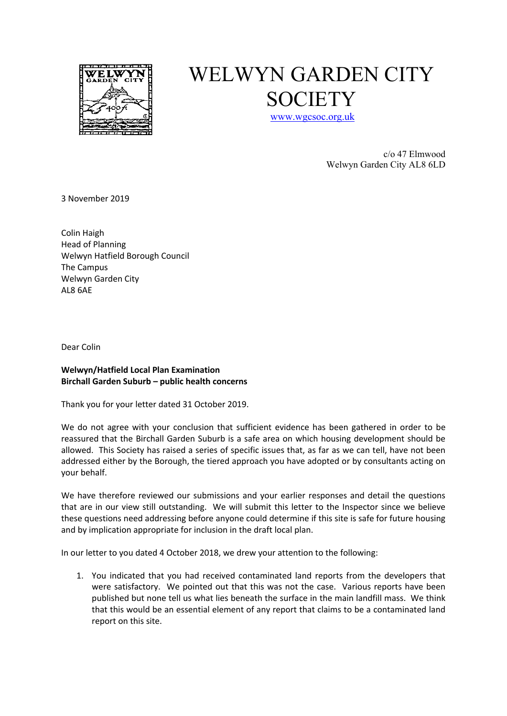

## WELWYN GARDEN CITY **SOCIETY**

www.wgcsoc.org.uk

c/o 47 Elmwood Welwyn Garden City AL8 6LD

3 November 2019

Colin Haigh Head of Planning Welwyn Hatfield Borough Council The Campus Welwyn Garden City AL8 6AE

Dear Colin

## **Welwyn/Hatfield Local Plan Examination Birchall Garden Suburb – public health concerns**

Thank you for your letter dated 31 October 2019.

We do not agree with your conclusion that sufficient evidence has been gathered in order to be reassured that the Birchall Garden Suburb is a safe area on which housing development should be allowed. This Society has raised a series of specific issues that, as far as we can tell, have not been addressed either by the Borough, the tiered approach you have adopted or by consultants acting on your behalf.

We have therefore reviewed our submissions and your earlier responses and detail the questions that are in our view still outstanding. We will submit this letter to the Inspector since we believe these questions need addressing before anyone could determine if this site is safe for future housing and by implication appropriate for inclusion in the draft local plan.

In our letter to you dated 4 October 2018, we drew your attention to the following:

1. You indicated that you had received contaminated land reports from the developers that were satisfactory. We pointed out that this was not the case. Various reports have been published but none tell us what lies beneath the surface in the main landfill mass. We think that this would be an essential element of any report that claims to be a contaminated land report on this site.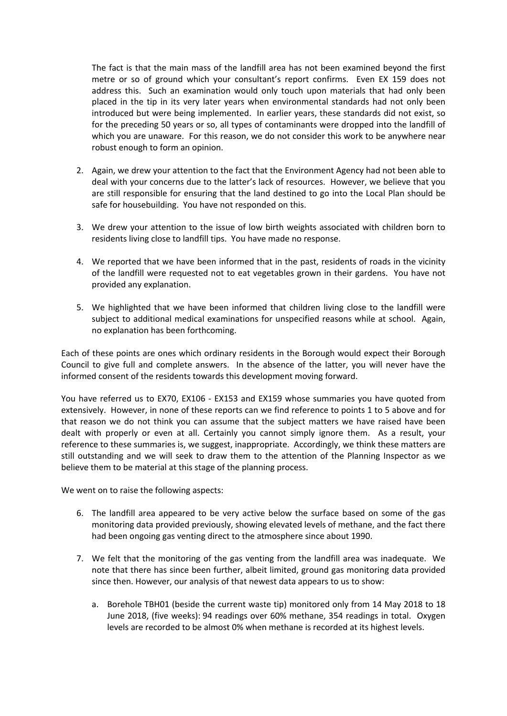The fact is that the main mass of the landfill area has not been examined beyond the first metre or so of ground which your consultant's report confirms. Even EX 159 does not address this. Such an examination would only touch upon materials that had only been placed in the tip in its very later years when environmental standards had not only been introduced but were being implemented. In earlier years, these standards did not exist, so for the preceding 50 years or so, all types of contaminants were dropped into the landfill of which you are unaware. For this reason, we do not consider this work to be anywhere near robust enough to form an opinion.

- 2. Again, we drew your attention to the fact that the Environment Agency had not been able to deal with your concerns due to the latter's lack of resources. However, we believe that you are still responsible for ensuring that the land destined to go into the Local Plan should be safe for housebuilding. You have not responded on this.
- 3. We drew your attention to the issue of low birth weights associated with children born to residents living close to landfill tips. You have made no response.
- 4. We reported that we have been informed that in the past, residents of roads in the vicinity of the landfill were requested not to eat vegetables grown in their gardens. You have not provided any explanation.
- 5. We highlighted that we have been informed that children living close to the landfill were subject to additional medical examinations for unspecified reasons while at school. Again, no explanation has been forthcoming.

Each of these points are ones which ordinary residents in the Borough would expect their Borough Council to give full and complete answers. In the absence of the latter, you will never have the informed consent of the residents towards this development moving forward.

You have referred us to EX70, EX106 - EX153 and EX159 whose summaries you have quoted from extensively. However, in none of these reports can we find reference to points 1 to 5 above and for that reason we do not think you can assume that the subject matters we have raised have been dealt with properly or even at all. Certainly you cannot simply ignore them. As a result, your reference to these summaries is, we suggest, inappropriate. Accordingly, we think these matters are still outstanding and we will seek to draw them to the attention of the Planning Inspector as we believe them to be material at this stage of the planning process.

We went on to raise the following aspects:

- 6. The landfill area appeared to be very active below the surface based on some of the gas monitoring data provided previously, showing elevated levels of methane, and the fact there had been ongoing gas venting direct to the atmosphere since about 1990.
- 7. We felt that the monitoring of the gas venting from the landfill area was inadequate. We note that there has since been further, albeit limited, ground gas monitoring data provided since then. However, our analysis of that newest data appears to us to show:
	- a. Borehole TBH01 (beside the current waste tip) monitored only from 14 May 2018 to 18 June 2018, (five weeks): 94 readings over 60% methane, 354 readings in total. Oxygen levels are recorded to be almost 0% when methane is recorded at its highest levels.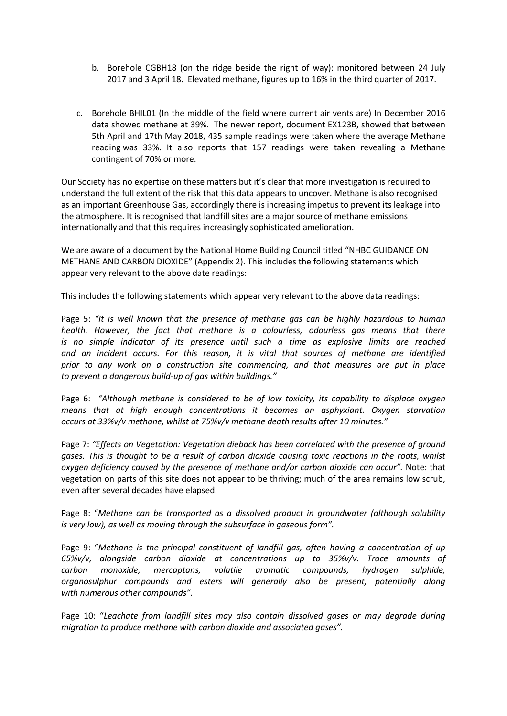- b. Borehole CGBH18 (on the ridge beside the right of way): monitored between 24 July 2017 and 3 April 18. Elevated methane, figures up to 16% in the third quarter of 2017.
- c. Borehole BHIL01 (In the middle of the field where current air vents are) In December 2016 data showed methane at 39%. The newer report, document EX123B, showed that between 5th April and 17th May 2018, 435 sample readings were taken where the average Methane reading was 33%. It also reports that 157 readings were taken revealing a Methane contingent of 70% or more.

Our Society has no expertise on these matters but it's clear that more investigation is required to understand the full extent of the risk that this data appears to uncover. Methane is also recognised as an important Greenhouse Gas, accordingly there is increasing impetus to prevent its leakage into the atmosphere. It is recognised that landfill sites are a major source of methane emissions internationally and that this requires increasingly sophisticated amelioration.

We are aware of a document by the National Home Building Council titled "NHBC GUIDANCE ON METHANE AND CARBON DIOXIDE" (Appendix 2). This includes the following statements which appear very relevant to the above date readings:

This includes the following statements which appear very relevant to the above data readings:

Page 5: *"It is well known that the presence of methane gas can be highly hazardous to human health. However, the fact that methane is a colourless, odourless gas means that there is no simple indicator of its presence until such a time as explosive limits are reached and an incident occurs. For this reason, it is vital that sources of methane are identified prior to any work on a construction site commencing, and that measures are put in place to prevent a dangerous build-up of gas within buildings."*

Page 6: *"Although methane is considered to be of low toxicity, its capability to displace oxygen means that at high enough concentrations it becomes an asphyxiant. Oxygen starvation occurs at 33%v/v methane, whilst at 75%v/v methane death results after 10 minutes."*

Page 7: *"Effects on Vegetation: Vegetation dieback has been correlated with the presence of ground gases. This is thought to be a result of carbon dioxide causing toxic reactions in the roots, whilst oxygen deficiency caused by the presence of methane and/or carbon dioxide can occur".* Note: that vegetation on parts of this site does not appear to be thriving; much of the area remains low scrub, even after several decades have elapsed.

Page 8: "*Methane can be transported as a dissolved product in groundwater (although solubility is very low), as well as moving through the subsurface in gaseous form".*

Page 9: "*Methane is the principal constituent of landfill gas, often having a concentration of up 65%v/v, alongside carbon dioxide at concentrations up to 35%v/v. Trace amounts of carbon monoxide, mercaptans, volatile aromatic compounds, hydrogen sulphide, organosulphur compounds and esters will generally also be present, potentially along with numerous other compounds".*

Page 10: "*Leachate from landfill sites may also contain dissolved gases or may degrade during migration to produce methane with carbon dioxide and associated gases".*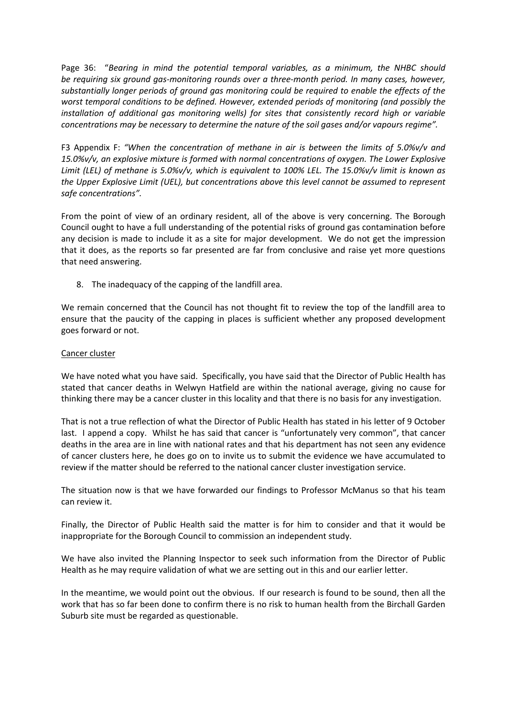Page 36: "*Bearing in mind the potential temporal variables, as a minimum, the NHBC should be requiring six ground gas-monitoring rounds over a three-month period. In many cases, however, substantially longer periods of ground gas monitoring could be required to enable the effects of the worst temporal conditions to be defined. However, extended periods of monitoring (and possibly the installation of additional gas monitoring wells) for sites that consistently record high or variable concentrations may be necessary to determine the nature of the soil gases and/or vapours regime".*

F3 Appendix F: *"When the concentration of methane in air is between the limits of 5.0%v/v and 15.0%v/v, an explosive mixture is formed with normal concentrations of oxygen. The Lower Explosive Limit (LEL) of methane is 5.0%v/v, which is equivalent to 100% LEL. The 15.0%v/v limit is known as the Upper Explosive Limit (UEL), but concentrations above this level cannot be assumed to represent safe concentrations".*

From the point of view of an ordinary resident, all of the above is very concerning. The Borough Council ought to have a full understanding of the potential risks of ground gas contamination before any decision is made to include it as a site for major development. We do not get the impression that it does, as the reports so far presented are far from conclusive and raise yet more questions that need answering.

8. The inadequacy of the capping of the landfill area.

We remain concerned that the Council has not thought fit to review the top of the landfill area to ensure that the paucity of the capping in places is sufficient whether any proposed development goes forward or not.

## Cancer cluster

We have noted what you have said. Specifically, you have said that the Director of Public Health has stated that cancer deaths in Welwyn Hatfield are within the national average, giving no cause for thinking there may be a cancer cluster in this locality and that there is no basis for any investigation.

That is not a true reflection of what the Director of Public Health has stated in his letter of 9 October last. I append a copy. Whilst he has said that cancer is "unfortunately very common", that cancer deaths in the area are in line with national rates and that his department has not seen any evidence of cancer clusters here, he does go on to invite us to submit the evidence we have accumulated to review if the matter should be referred to the national cancer cluster investigation service.

The situation now is that we have forwarded our findings to Professor McManus so that his team can review it.

Finally, the Director of Public Health said the matter is for him to consider and that it would be inappropriate for the Borough Council to commission an independent study.

We have also invited the Planning Inspector to seek such information from the Director of Public Health as he may require validation of what we are setting out in this and our earlier letter.

In the meantime, we would point out the obvious. If our research is found to be sound, then all the work that has so far been done to confirm there is no risk to human health from the Birchall Garden Suburb site must be regarded as questionable.